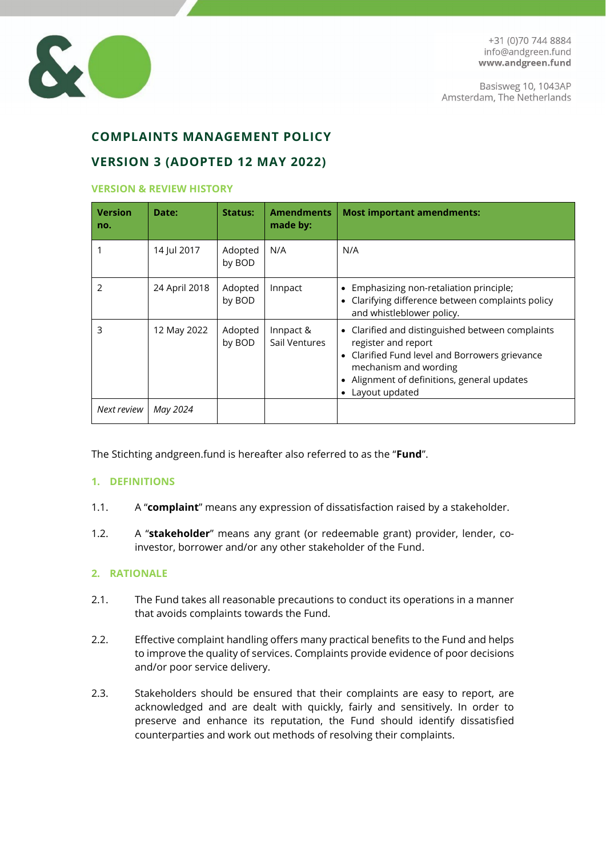

# **COMPLAINTS MANAGEMENT POLICY**

# **VERSION 3 (ADOPTED 12 MAY 2022)**

#### **VERSION & REVIEW HISTORY**

| <b>Version</b><br>no. | Date:         | Status:           | <b>Amendments</b><br>made by: | <b>Most important amendments:</b>                                                                                                                                                                                     |
|-----------------------|---------------|-------------------|-------------------------------|-----------------------------------------------------------------------------------------------------------------------------------------------------------------------------------------------------------------------|
|                       | 14 Jul 2017   | Adopted<br>by BOD | N/A                           | N/A                                                                                                                                                                                                                   |
|                       | 24 April 2018 | Adopted<br>by BOD | Innpact                       | Emphasizing non-retaliation principle;<br>Clarifying difference between complaints policy<br>and whistleblower policy.                                                                                                |
| 3                     | 12 May 2022   | Adopted<br>by BOD | Innpact &<br>Sail Ventures    | • Clarified and distinguished between complaints<br>register and report<br>• Clarified Fund level and Borrowers grievance<br>mechanism and wording<br>• Alignment of definitions, general updates<br>• Layout updated |
| Next review           | May 2024      |                   |                               |                                                                                                                                                                                                                       |

The Stichting andgreen.fund is hereafter also referred to as the "**Fund**".

#### **1. DEFINITIONS**

- 1.1. A "**complaint**" means any expression of dissatisfaction raised by a stakeholder.
- 1.2. A "**stakeholder**" means any grant (or redeemable grant) provider, lender, coinvestor, borrower and/or any other stakeholder of the Fund.

## **2. RATIONALE**

- 2.1. The Fund takes all reasonable precautions to conduct its operations in a manner that avoids complaints towards the Fund.
- 2.2. Effective complaint handling offers many practical benefits to the Fund and helps to improve the quality of services. Complaints provide evidence of poor decisions and/or poor service delivery.
- 2.3. Stakeholders should be ensured that their complaints are easy to report, are acknowledged and are dealt with quickly, fairly and sensitively. In order to preserve and enhance its reputation, the Fund should identify dissatisfied counterparties and work out methods of resolving their complaints.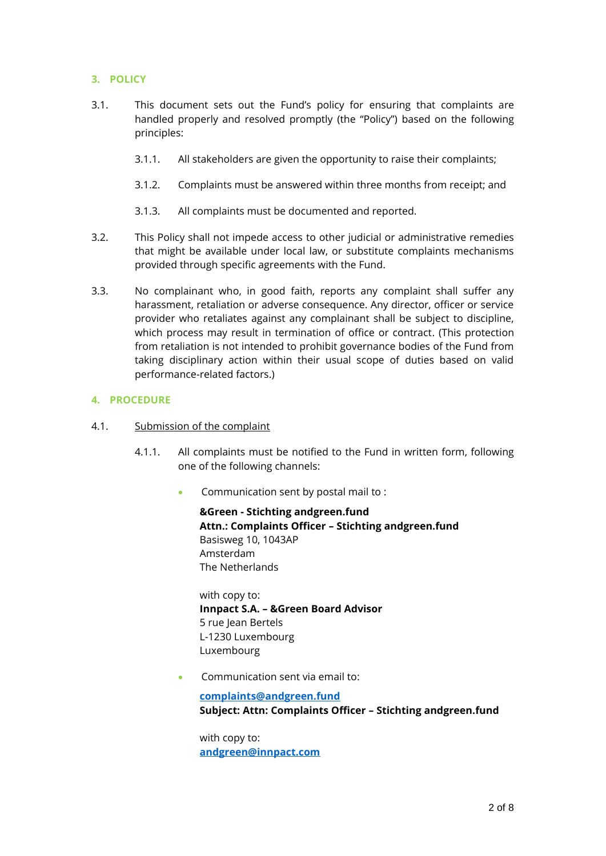# **3. POLICY**

- 3.1. This document sets out the Fund's policy for ensuring that complaints are handled properly and resolved promptly (the "Policy") based on the following principles:
	- 3.1.1. All stakeholders are given the opportunity to raise their complaints;
	- 3.1.2. Complaints must be answered within three months from receipt; and
	- 3.1.3. All complaints must be documented and reported.
- 3.2. This Policy shall not impede access to other judicial or administrative remedies that might be available under local law, or substitute complaints mechanisms provided through specific agreements with the Fund.
- 3.3. No complainant who, in good faith, reports any complaint shall suffer any harassment, retaliation or adverse consequence. Any director, officer or service provider who retaliates against any complainant shall be subject to discipline, which process may result in termination of office or contract. (This protection from retaliation is not intended to prohibit governance bodies of the Fund from taking disciplinary action within their usual scope of duties based on valid performance-related factors.)

### <span id="page-1-1"></span>**4. PROCEDURE**

- <span id="page-1-0"></span>4.1. Submission of the complaint
	- 4.1.1. All complaints must be notified to the Fund in written form, following one of the following channels:
		- Communication sent by postal mail to :

**&Green - Stichting andgreen.fund Attn.: Complaints Officer – Stichting andgreen.fund** Basisweg 10, 1043AP Amsterdam The Netherlands

with copy to: **Innpact S.A. – &Green Board Advisor** 5 rue Jean Bertels L-1230 Luxembourg Luxembourg

• Communication sent via email to:

**[complaints@andgreen.fund](mailto:complaints@andgreen.fund) Subject: Attn: Complaints Officer – Stichting andgreen.fund**

with copy to: **[andgreen@innpact.com](mailto:andgreen@innpact.com)**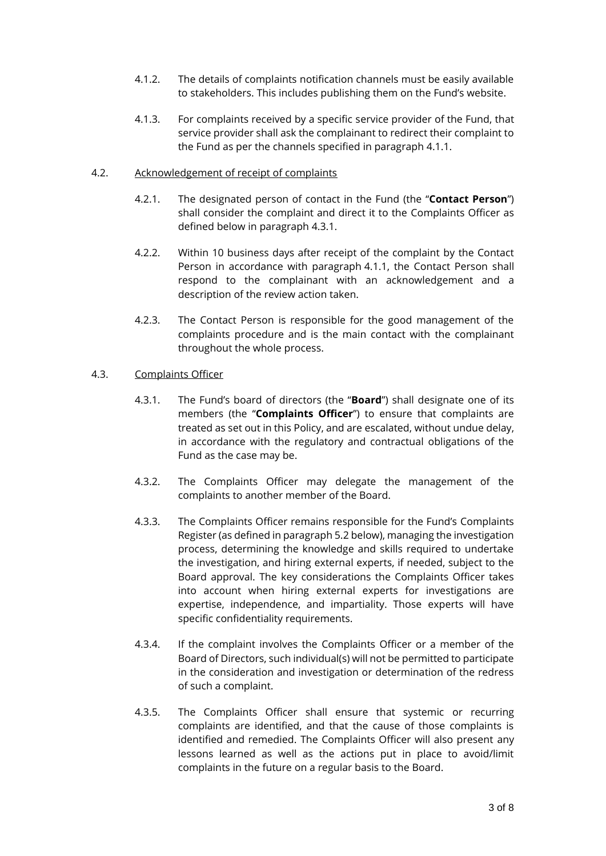- 4.1.2. The details of complaints notification channels must be easily available to stakeholders. This includes publishing them on the Fund's website.
- 4.1.3. For complaints received by a specific service provider of the Fund, that service provider shall ask the complainant to redirect their complaint to the Fund as per the channels specified in paragraph [4.1.1.](#page-1-0)

## 4.2. Acknowledgement of receipt of complaints

- 4.2.1. The designated person of contact in the Fund (the "**Contact Person**") shall consider the complaint and direct it to the Complaints Officer as defined below in paragraph [4.3.1.](#page-2-0)
- 4.2.2. Within 10 business days after receipt of the complaint by the Contact Person in accordance with paragraph [4.1.1,](#page-1-0) the Contact Person shall respond to the complainant with an acknowledgement and a description of the review action taken.
- 4.2.3. The Contact Person is responsible for the good management of the complaints procedure and is the main contact with the complainant throughout the whole process.

### 4.3. Complaints Officer

- <span id="page-2-0"></span>4.3.1. The Fund's board of directors (the "**Board**") shall designate one of its members (the "**Complaints Officer**") to ensure that complaints are treated as set out in this Policy, and are escalated, without undue delay, in accordance with the regulatory and contractual obligations of the Fund as the case may be.
- 4.3.2. The Complaints Officer may delegate the management of the complaints to another member of the Board.
- 4.3.3. The Complaints Officer remains responsible for the Fund's Complaints Register (as defined in paragraph [5.2](#page-4-0) below), managing the investigation process, determining the knowledge and skills required to undertake the investigation, and hiring external experts, if needed, subject to the Board approval. The key considerations the Complaints Officer takes into account when hiring external experts for investigations are expertise, independence, and impartiality. Those experts will have specific confidentiality requirements.
- 4.3.4. If the complaint involves the Complaints Officer or a member of the Board of Directors, such individual(s) will not be permitted to participate in the consideration and investigation or determination of the redress of such a complaint.
- 4.3.5. The Complaints Officer shall ensure that systemic or recurring complaints are identified, and that the cause of those complaints is identified and remedied. The Complaints Officer will also present any lessons learned as well as the actions put in place to avoid/limit complaints in the future on a regular basis to the Board.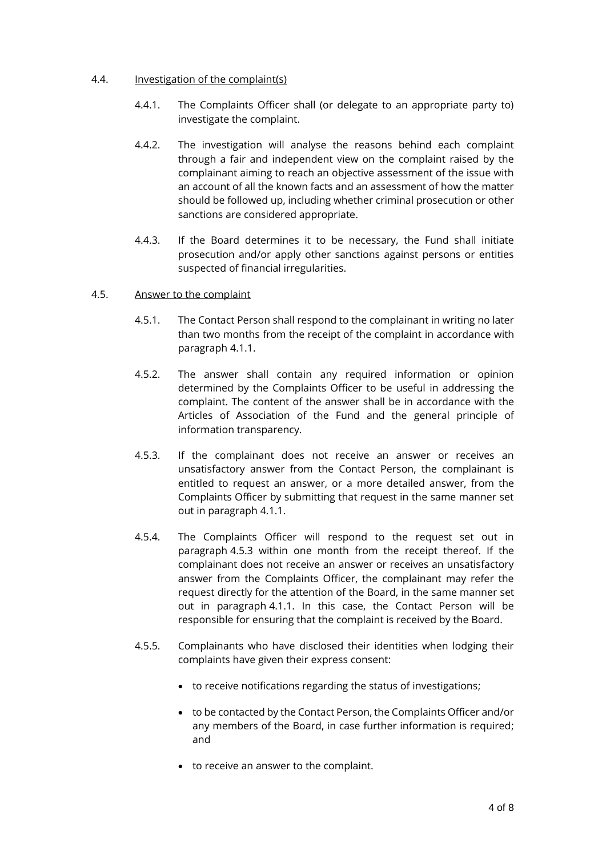### 4.4. Investigation of the complaint(s)

- 4.4.1. The Complaints Officer shall (or delegate to an appropriate party to) investigate the complaint.
- 4.4.2. The investigation will analyse the reasons behind each complaint through a fair and independent view on the complaint raised by the complainant aiming to reach an objective assessment of the issue with an account of all the known facts and an assessment of how the matter should be followed up, including whether criminal prosecution or other sanctions are considered appropriate.
- 4.4.3. If the Board determines it to be necessary, the Fund shall initiate prosecution and/or apply other sanctions against persons or entities suspected of financial irregularities.

### 4.5. Answer to the complaint

- 4.5.1. The Contact Person shall respond to the complainant in writing no later than two months from the receipt of the complaint in accordance with paragraph [4.1.1.](#page-1-0)
- 4.5.2. The answer shall contain any required information or opinion determined by the Complaints Officer to be useful in addressing the complaint. The content of the answer shall be in accordance with the Articles of Association of the Fund and the general principle of information transparency.
- <span id="page-3-0"></span>4.5.3. If the complainant does not receive an answer or receives an unsatisfactory answer from the Contact Person, the complainant is entitled to request an answer, or a more detailed answer, from the Complaints Officer by submitting that request in the same manner set out in paragraph [4.1.1.](#page-1-0)
- 4.5.4. The Complaints Officer will respond to the request set out in paragraph [4.5.3](#page-3-0) within one month from the receipt thereof. If the complainant does not receive an answer or receives an unsatisfactory answer from the Complaints Officer, the complainant may refer the request directly for the attention of the Board, in the same manner set out in paragraph [4.1.1.](#page-1-0) In this case, the Contact Person will be responsible for ensuring that the complaint is received by the Board.
- 4.5.5. Complainants who have disclosed their identities when lodging their complaints have given their express consent:
	- to receive notifications regarding the status of investigations;
	- to be contacted by the Contact Person, the Complaints Officer and/or any members of the Board, in case further information is required; and
	- to receive an answer to the complaint.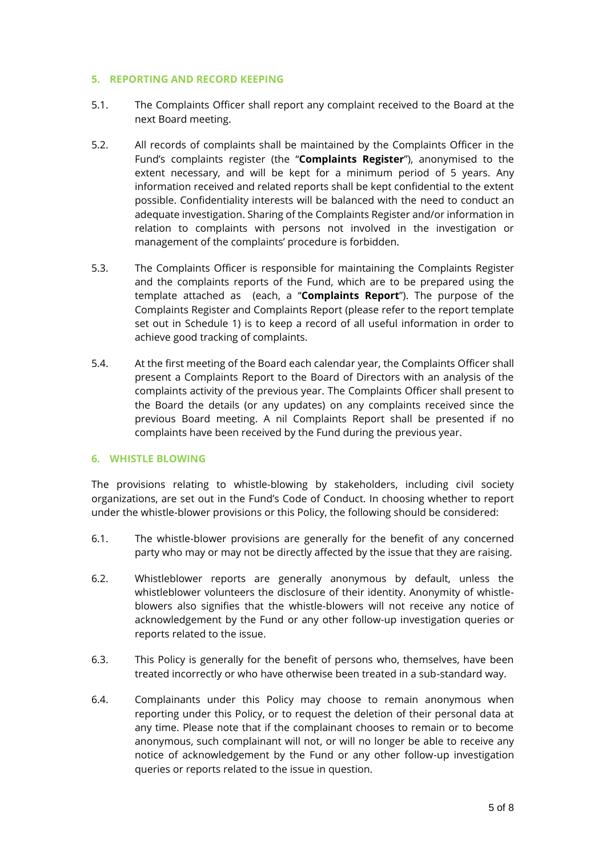### **5. REPORTING AND RECORD KEEPING**

- 5.1. The Complaints Officer shall report any complaint received to the Board at the next Board meeting.
- <span id="page-4-0"></span>5.2. All records of complaints shall be maintained by the Complaints Officer in the Fund's complaints register (the "**Complaints Register**"), anonymised to the extent necessary, and will be kept for a minimum period of 5 years. Any information received and related reports shall be kept confidential to the extent possible. Confidentiality interests will be balanced with the need to conduct an adequate investigation. Sharing of the Complaints Register and/or information in relation to complaints with persons not involved in the investigation or management of the complaints' procedure is forbidden.
- 5.3. The Complaints Officer is responsible for maintaining the Complaints Register and the complaints reports of the Fund, which are to be prepared using the template attached as (each, a "**Complaints Report**"). The purpose of the Complaints Register and Complaints Report (please refer to the report template set out in Schedule 1) is to keep a record of all useful information in order to achieve good tracking of complaints.
- 5.4. At the first meeting of the Board each calendar year, the Complaints Officer shall present a Complaints Report to the Board of Directors with an analysis of the complaints activity of the previous year. The Complaints Officer shall present to the Board the details (or any updates) on any complaints received since the previous Board meeting. A nil Complaints Report shall be presented if no complaints have been received by the Fund during the previous year.

#### **6. WHISTLE BLOWING**

The provisions relating to whistle-blowing by stakeholders, including civil society organizations, are set out in the Fund's Code of Conduct. In choosing whether to report under the whistle-blower provisions or this Policy, the following should be considered:

- 6.1. The whistle-blower provisions are generally for the benefit of any concerned party who may or may not be directly affected by the issue that they are raising.
- 6.2. Whistleblower reports are generally anonymous by default, unless the whistleblower volunteers the disclosure of their identity. Anonymity of whistleblowers also signifies that the whistle-blowers will not receive any notice of acknowledgement by the Fund or any other follow-up investigation queries or reports related to the issue.
- 6.3. This Policy is generally for the benefit of persons who, themselves, have been treated incorrectly or who have otherwise been treated in a sub-standard way.
- 6.4. Complainants under this Policy may choose to remain anonymous when reporting under this Policy, or to request the deletion of their personal data at any time. Please note that if the complainant chooses to remain or to become anonymous, such complainant will not, or will no longer be able to receive any notice of acknowledgement by the Fund or any other follow-up investigation queries or reports related to the issue in question.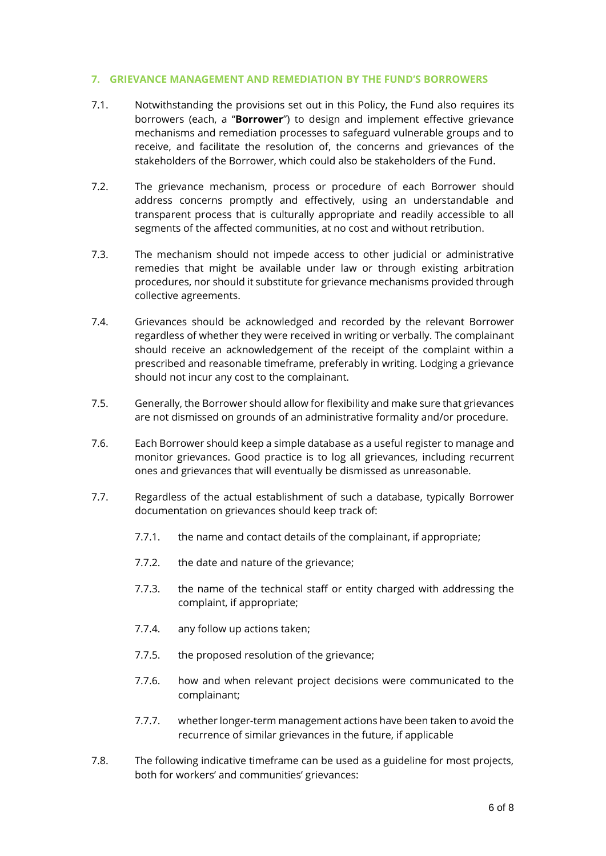#### **7. GRIEVANCE MANAGEMENT AND REMEDIATION BY THE FUND'S BORROWERS**

- 7.1. Notwithstanding the provisions set out in this Policy, the Fund also requires its borrowers (each, a "**Borrower**") to design and implement effective grievance mechanisms and remediation processes to safeguard vulnerable groups and to receive, and facilitate the resolution of, the concerns and grievances of the stakeholders of the Borrower, which could also be stakeholders of the Fund.
- 7.2. The grievance mechanism, process or procedure of each Borrower should address concerns promptly and effectively, using an understandable and transparent process that is culturally appropriate and readily accessible to all segments of the affected communities, at no cost and without retribution.
- 7.3. The mechanism should not impede access to other judicial or administrative remedies that might be available under law or through existing arbitration procedures, nor should it substitute for grievance mechanisms provided through collective agreements.
- 7.4. Grievances should be acknowledged and recorded by the relevant Borrower regardless of whether they were received in writing or verbally. The complainant should receive an acknowledgement of the receipt of the complaint within a prescribed and reasonable timeframe, preferably in writing. Lodging a grievance should not incur any cost to the complainant.
- 7.5. Generally, the Borrower should allow for flexibility and make sure that grievances are not dismissed on grounds of an administrative formality and/or procedure.
- 7.6. Each Borrower should keep a simple database as a useful register to manage and monitor grievances. Good practice is to log all grievances, including recurrent ones and grievances that will eventually be dismissed as unreasonable.
- 7.7. Regardless of the actual establishment of such a database, typically Borrower documentation on grievances should keep track of:
	- 7.7.1. the name and contact details of the complainant, if appropriate;
	- 7.7.2. the date and nature of the grievance;
	- 7.7.3. the name of the technical staff or entity charged with addressing the complaint, if appropriate;
	- 7.7.4. any follow up actions taken;
	- 7.7.5. the proposed resolution of the grievance;
	- 7.7.6. how and when relevant project decisions were communicated to the complainant;
	- 7.7.7. whether longer-term management actions have been taken to avoid the recurrence of similar grievances in the future, if applicable
- <span id="page-5-0"></span>7.8. The following indicative timeframe can be used as a guideline for most projects, both for workers' and communities' grievances: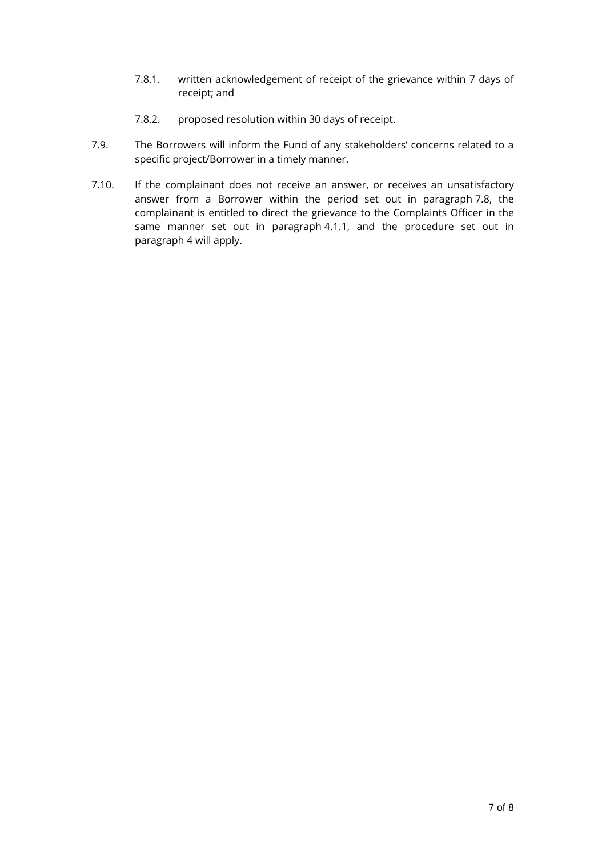- 7.8.1. written acknowledgement of receipt of the grievance within 7 days of receipt; and
- 7.8.2. proposed resolution within 30 days of receipt.
- 7.9. The Borrowers will inform the Fund of any stakeholders' concerns related to a specific project/Borrower in a timely manner.
- 7.10. If the complainant does not receive an answer, or receives an unsatisfactory answer from a Borrower within the period set out in paragraph [7.8,](#page-5-0) the complainant is entitled to direct the grievance to the Complaints Officer in the same manner set out in paragraph [4.1.1,](#page-1-0) and the procedure set out in paragraph [4](#page-1-1) will apply.